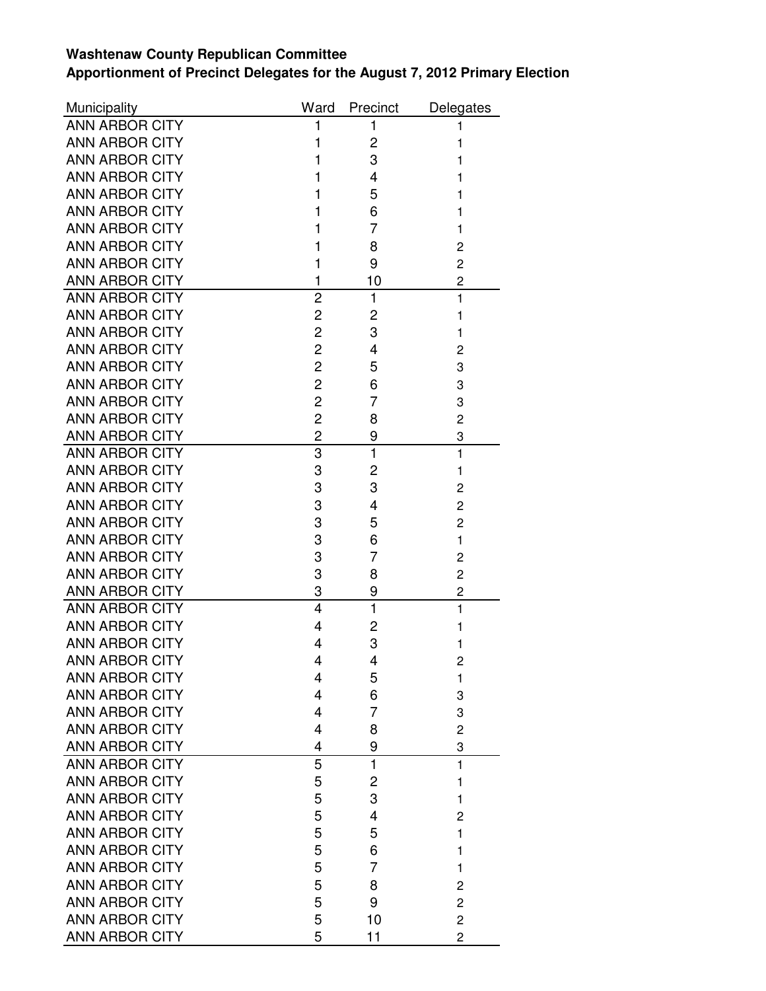## **Washtenaw County Republican Committee Apportionment of Precinct Delegates for the August 7, 2012 Primary Election**

| Municipality          | Ward           | Precinct     | Delegates      |
|-----------------------|----------------|--------------|----------------|
| <b>ANN ARBOR CITY</b> | 1              | 1            | 1              |
| <b>ANN ARBOR CITY</b> | 1              | 2            | 1              |
| <b>ANN ARBOR CITY</b> | 1              | 3            | 1              |
| <b>ANN ARBOR CITY</b> | 1              | 4            | 1              |
| <b>ANN ARBOR CITY</b> | 1              | 5            | 1              |
| <b>ANN ARBOR CITY</b> | 1              | 6            | 1              |
| <b>ANN ARBOR CITY</b> | 1              | 7            | 1              |
| <b>ANN ARBOR CITY</b> | 1              | 8            | 2              |
| <b>ANN ARBOR CITY</b> | 1              | 9            | $\overline{c}$ |
| <b>ANN ARBOR CITY</b> | 1              | 10           | 2              |
| <b>ANN ARBOR CITY</b> | $\overline{2}$ | $\mathbf{1}$ | $\mathbf{1}$   |
| <b>ANN ARBOR CITY</b> | 2              | 2            | 1              |
| <b>ANN ARBOR CITY</b> | $\overline{c}$ | 3            | 1              |
| <b>ANN ARBOR CITY</b> | $\overline{2}$ | 4            | 2              |
| <b>ANN ARBOR CITY</b> | $\overline{c}$ | 5            | 3              |
| <b>ANN ARBOR CITY</b> | $\overline{c}$ | 6            | 3              |
| <b>ANN ARBOR CITY</b> | $\overline{c}$ | 7            | 3              |
| <b>ANN ARBOR CITY</b> | $\overline{c}$ | 8            | $\overline{c}$ |
| <b>ANN ARBOR CITY</b> | $\overline{c}$ | 9            | 3              |
| <b>ANN ARBOR CITY</b> | 3              | $\mathbf{1}$ | $\mathbf{1}$   |
| <b>ANN ARBOR CITY</b> | 3              | 2            | 1              |
| <b>ANN ARBOR CITY</b> | 3              | 3            | $\overline{c}$ |
| <b>ANN ARBOR CITY</b> | 3              | 4            | $\overline{c}$ |
| <b>ANN ARBOR CITY</b> | 3              | 5            | $\overline{c}$ |
| <b>ANN ARBOR CITY</b> | 3              | 6            | $\mathbf{1}$   |
| <b>ANN ARBOR CITY</b> | 3              | 7            | $\overline{c}$ |
| <b>ANN ARBOR CITY</b> | 3              | 8            | 2              |
| <b>ANN ARBOR CITY</b> | 3              | 9            | 2              |
| <b>ANN ARBOR CITY</b> | 4              | $\mathbf{1}$ | 1              |
| <b>ANN ARBOR CITY</b> | 4              | 2            | 1              |
| <b>ANN ARBOR CITY</b> | 4              | 3            | 1              |
| <b>ANN ARBOR CITY</b> | 4              | 4            | $\overline{c}$ |
| <b>ANN ARBOR CITY</b> | 4              | 5            | 1              |
| <b>ANN ARBOR CITY</b> | 4              | 6            | 3              |
| <b>ANN ARBOR CITY</b> | 4              | 7            | 3              |
| <b>ANN ARBOR CITY</b> | 4              | 8            | 2              |
| <b>ANN ARBOR CITY</b> | 4              | 9            | 3              |
| <b>ANN ARBOR CITY</b> | 5              | 1            | $\mathbf{1}$   |
| <b>ANN ARBOR CITY</b> | 5              | 2            | 1              |
| <b>ANN ARBOR CITY</b> | 5              | 3            | $\mathbf{1}$   |
| <b>ANN ARBOR CITY</b> | 5              | 4            | 2              |
| <b>ANN ARBOR CITY</b> | 5              | 5            | 1              |
| <b>ANN ARBOR CITY</b> | 5              | 6            | 1              |
| <b>ANN ARBOR CITY</b> | 5              | 7            | 1              |
| <b>ANN ARBOR CITY</b> | 5              | 8            | $\overline{c}$ |
| <b>ANN ARBOR CITY</b> | 5              | 9            | $\overline{c}$ |
| <b>ANN ARBOR CITY</b> | 5              | 10           | $\overline{c}$ |
| <b>ANN ARBOR CITY</b> | 5              | 11           | $\overline{c}$ |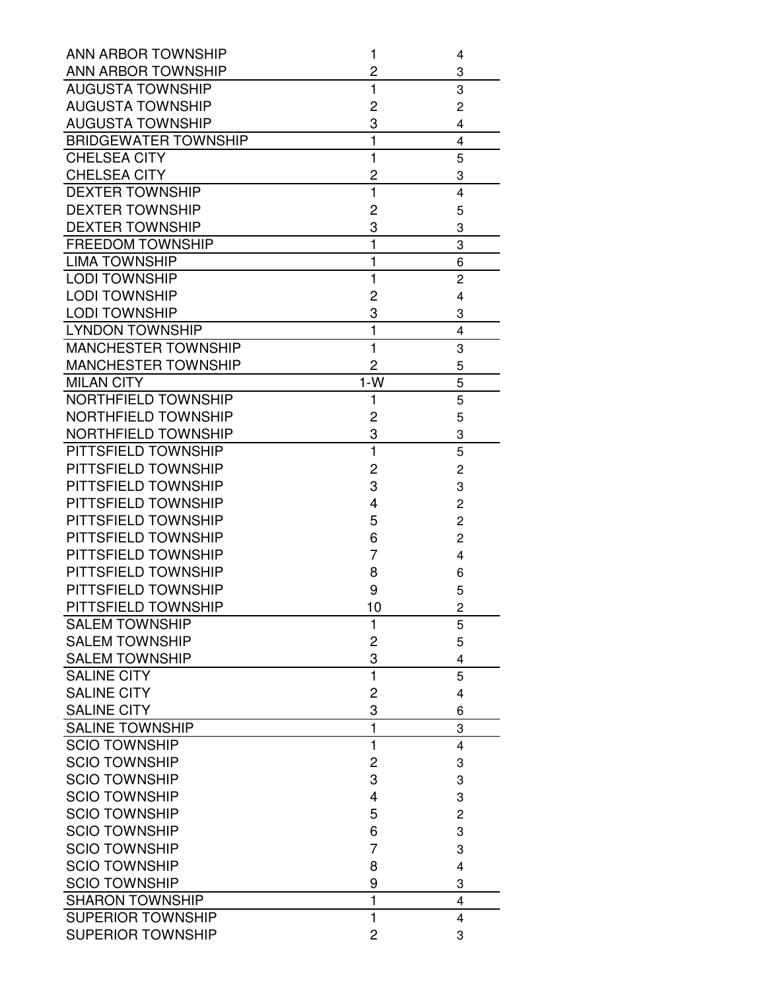| <b>ANN ARBOR TOWNSHIP</b>   | 1              | 4              |
|-----------------------------|----------------|----------------|
| <b>ANN ARBOR TOWNSHIP</b>   | 2              | 3              |
| <b>AUGUSTA TOWNSHIP</b>     | 1              | 3              |
| <b>AUGUSTA TOWNSHIP</b>     | 2              | $\overline{c}$ |
| <b>AUGUSTA TOWNSHIP</b>     | 3              | 4              |
| <b>BRIDGEWATER TOWNSHIP</b> | $\overline{1}$ | 4              |
| CHELSEA CITY                | 1              | 5              |
| <b>CHELSEA CITY</b>         | 2              | 3              |
| <b>DEXTER TOWNSHIP</b>      | 1              | 4              |
| <b>DEXTER TOWNSHIP</b>      | 2              | 5              |
| <b>DEXTER TOWNSHIP</b>      | 3              | 3              |
| <b>FREEDOM TOWNSHIP</b>     | $\mathbf{1}$   | 3              |
| <b>LIMA TOWNSHIP</b>        | 1              | 6              |
| <b>LODI TOWNSHIP</b>        | $\mathbf{1}$   | $\overline{c}$ |
| <b>LODI TOWNSHIP</b>        | 2              | 4              |
| <b>LODI TOWNSHIP</b>        | 3              | 3              |
| <b>LYNDON TOWNSHIP</b>      | 1              | 4              |
| <b>MANCHESTER TOWNSHIP</b>  | $\mathbf{1}$   | 3              |
| <b>MANCHESTER TOWNSHIP</b>  | 2              | 5              |
| <b>MILAN CITY</b>           | $1-W$          | 5              |
| NORTHFIELD TOWNSHIP         | 1              | 5              |
| NORTHFIELD TOWNSHIP         | 2              | 5              |
| NORTHFIELD TOWNSHIP         | 3              | 3              |
| PITTSFIELD TOWNSHIP         | $\mathbf{1}$   | 5              |
| PITTSFIELD TOWNSHIP         | 2              | 2              |
| PITTSFIELD TOWNSHIP         | 3              | 3              |
| PITTSFIELD TOWNSHIP         | 4              | $\overline{c}$ |
| PITTSFIELD TOWNSHIP         | 5              | $\overline{c}$ |
| PITTSFIELD TOWNSHIP         | 6              | $\overline{c}$ |
| PITTSFIELD TOWNSHIP         | 7              | 4              |
| PITTSFIELD TOWNSHIP         | 8              | 6              |
| PITTSFIELD TOWNSHIP         | 9              | 5              |
| PITTSFIELD TOWNSHIP         | 10             | $\overline{2}$ |
| <b>SALEM TOWNSHIP</b>       | 1              | 5              |
| <b>SALEM TOWNSHIP</b>       | 2              | 5              |
| <b>SALEM TOWNSHIP</b>       | 3              | 4              |
| <b>SALINE CITY</b>          | $\mathbf{1}$   | 5              |
| <b>SALINE CITY</b>          | 2              | 4              |
| <b>SALINE CITY</b>          | 3              | 6              |
| <b>SALINE TOWNSHIP</b>      | 1              | 3              |
| <b>SCIO TOWNSHIP</b>        | 1              | 4              |
| <b>SCIO TOWNSHIP</b>        | 2              | 3              |
| <b>SCIO TOWNSHIP</b>        | 3              | 3              |
| <b>SCIO TOWNSHIP</b>        | 4              |                |
| <b>SCIO TOWNSHIP</b>        |                | 3              |
| <b>SCIO TOWNSHIP</b>        | 5              | 2              |
|                             | 6              | 3              |
| <b>SCIO TOWNSHIP</b>        | 7              | 3              |
| <b>SCIO TOWNSHIP</b>        | 8              | 4              |
| <b>SCIO TOWNSHIP</b>        | 9              | 3              |
| <b>SHARON TOWNSHIP</b>      | 1              | 4              |
| <b>SUPERIOR TOWNSHIP</b>    | $\mathbf{1}$   | 4              |
| <b>SUPERIOR TOWNSHIP</b>    | 2              | 3              |